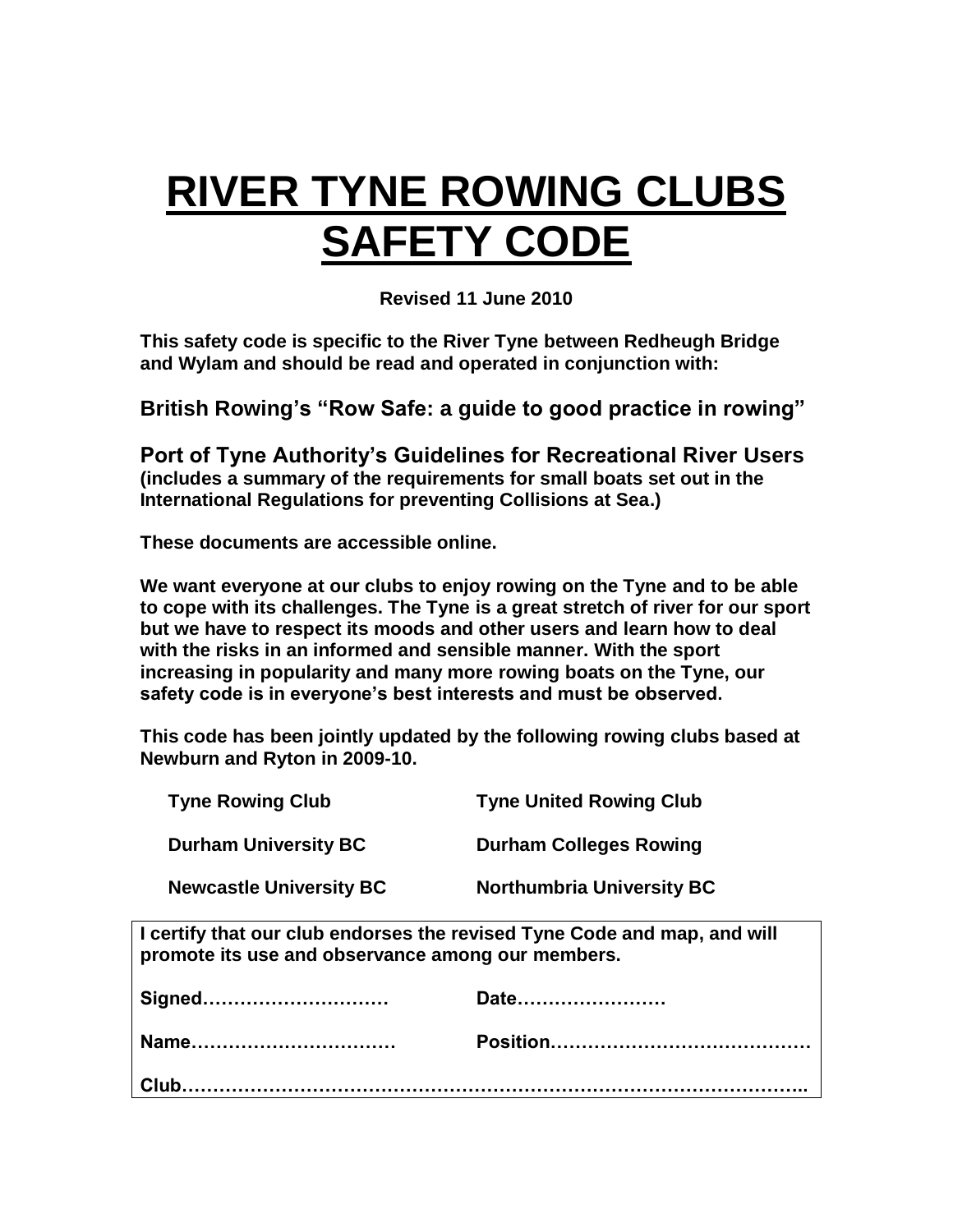# **RIVER TYNE ROWING CLUBS SAFETY CODE**

**Revised 11 June 2010**

**This safety code is specific to the River Tyne between Redheugh Bridge and Wylam and should be read and operated in conjunction with:**

**British Rowing's "Row Safe: a guide to good practice in rowing"**

**Port of Tyne Authority's Guidelines for Recreational River Users (includes a summary of the requirements for small boats set out in the International Regulations for preventing Collisions at Sea.)**

**These documents are accessible online.**

**We want everyone at our clubs to enjoy rowing on the Tyne and to be able to cope with its challenges. The Tyne is a great stretch of river for our sport but we have to respect its moods and other users and learn how to deal with the risks in an informed and sensible manner. With the sport increasing in popularity and many more rowing boats on the Tyne, our safety code is in everyone's best interests and must be observed.** 

**This code has been jointly updated by the following rowing clubs based at Newburn and Ryton in 2009-10.**

| <b>Tyne Rowing Club</b>                           | <b>Tyne United Rowing Club</b>                                           |
|---------------------------------------------------|--------------------------------------------------------------------------|
| <b>Durham University BC</b>                       | <b>Durham Colleges Rowing</b>                                            |
| <b>Newcastle University BC</b>                    | <b>Northumbria University BC</b>                                         |
| promote its use and observance among our members. | I certify that our club endorses the revised Tyne Code and map, and will |
| Signed                                            | Date                                                                     |
| Name                                              |                                                                          |
|                                                   |                                                                          |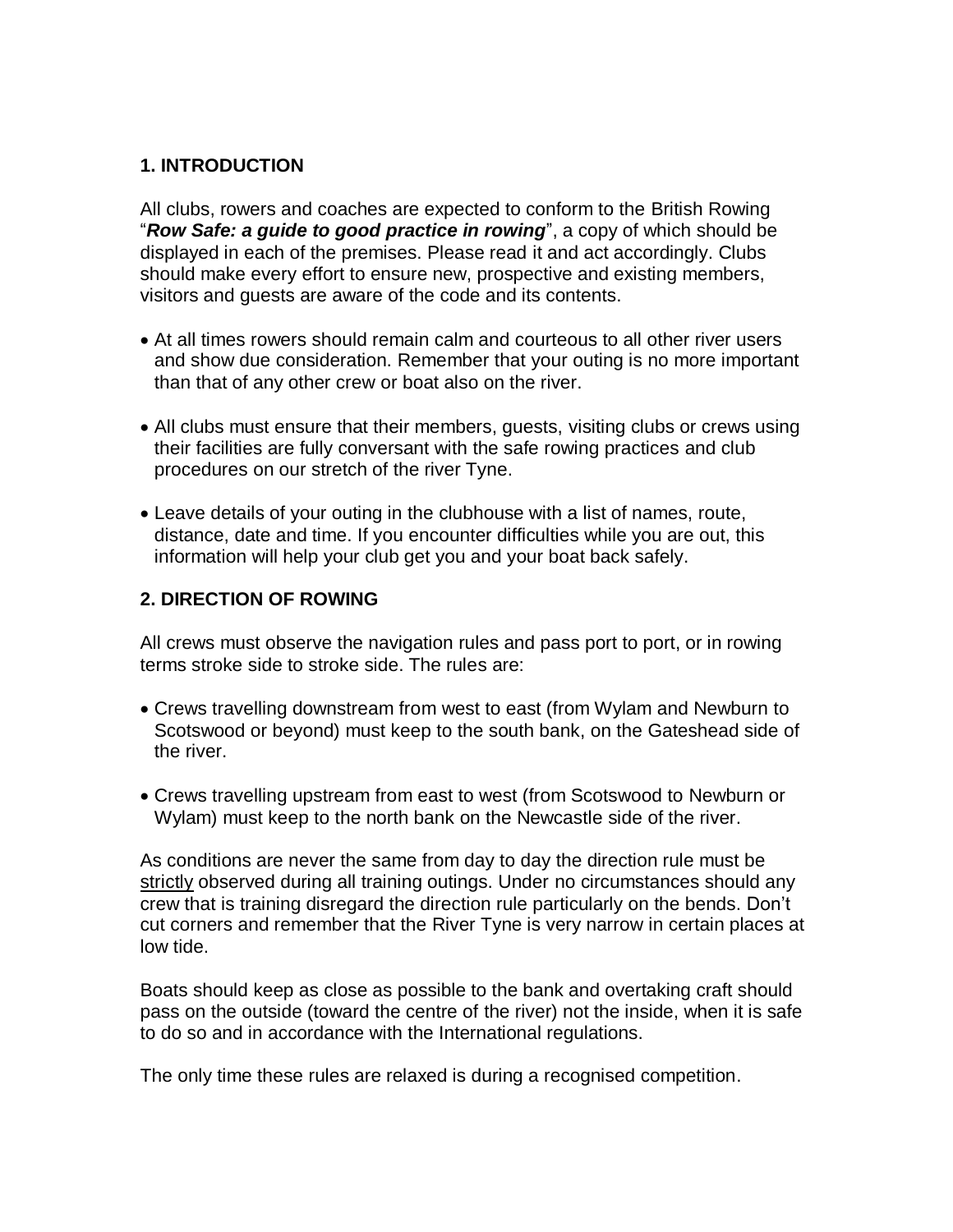#### **1. INTRODUCTION**

All clubs, rowers and coaches are expected to conform to the British Rowing "*Row Safe: a guide to good practice in rowing*", a copy of which should be displayed in each of the premises. Please read it and act accordingly. Clubs should make every effort to ensure new, prospective and existing members, visitors and guests are aware of the code and its contents.

- At all times rowers should remain calm and courteous to all other river users and show due consideration. Remember that your outing is no more important than that of any other crew or boat also on the river.
- All clubs must ensure that their members, guests, visiting clubs or crews using their facilities are fully conversant with the safe rowing practices and club procedures on our stretch of the river Tyne.
- Leave details of your outing in the clubhouse with a list of names, route, distance, date and time. If you encounter difficulties while you are out, this information will help your club get you and your boat back safely.

#### **2. DIRECTION OF ROWING**

All crews must observe the navigation rules and pass port to port, or in rowing terms stroke side to stroke side. The rules are:

- Crews travelling downstream from west to east (from Wylam and Newburn to Scotswood or beyond) must keep to the south bank, on the Gateshead side of the river.
- Crews travelling upstream from east to west (from Scotswood to Newburn or Wylam) must keep to the north bank on the Newcastle side of the river.

As conditions are never the same from day to day the direction rule must be strictly observed during all training outings. Under no circumstances should any crew that is training disregard the direction rule particularly on the bends. Don"t cut corners and remember that the River Tyne is very narrow in certain places at low tide.

Boats should keep as close as possible to the bank and overtaking craft should pass on the outside (toward the centre of the river) not the inside, when it is safe to do so and in accordance with the International regulations.

The only time these rules are relaxed is during a recognised competition.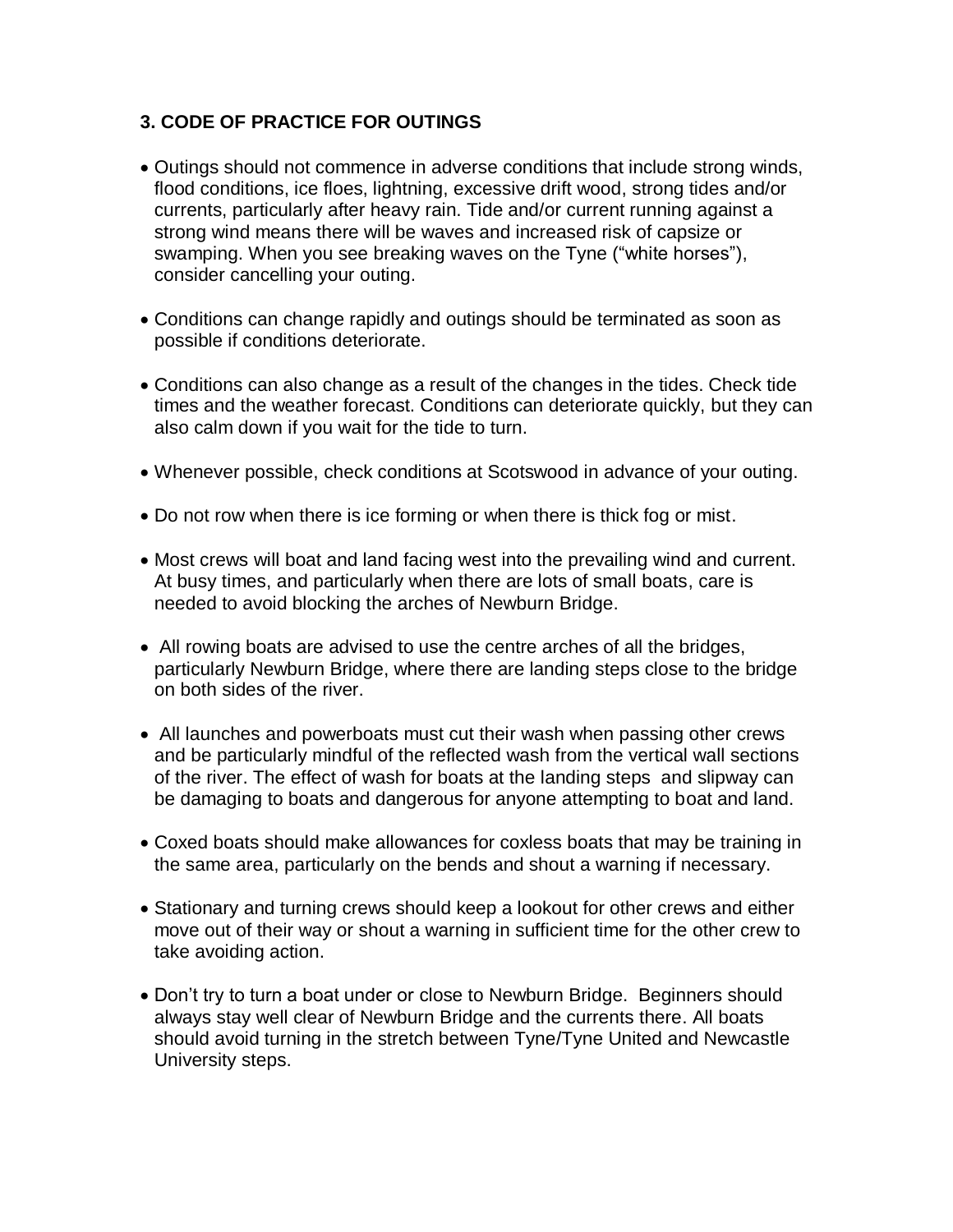#### **3. CODE OF PRACTICE FOR OUTINGS**

- Outings should not commence in adverse conditions that include strong winds, flood conditions, ice floes, lightning, excessive drift wood, strong tides and/or currents, particularly after heavy rain. Tide and/or current running against a strong wind means there will be waves and increased risk of capsize or swamping. When you see breaking waves on the Tyne ("white horses"), consider cancelling your outing.
- Conditions can change rapidly and outings should be terminated as soon as possible if conditions deteriorate.
- Conditions can also change as a result of the changes in the tides. Check tide times and the weather forecast. Conditions can deteriorate quickly, but they can also calm down if you wait for the tide to turn.
- Whenever possible, check conditions at Scotswood in advance of your outing.
- Do not row when there is ice forming or when there is thick fog or mist.
- Most crews will boat and land facing west into the prevailing wind and current. At busy times, and particularly when there are lots of small boats, care is needed to avoid blocking the arches of Newburn Bridge.
- All rowing boats are advised to use the centre arches of all the bridges, particularly Newburn Bridge, where there are landing steps close to the bridge on both sides of the river.
- All launches and powerboats must cut their wash when passing other crews and be particularly mindful of the reflected wash from the vertical wall sections of the river. The effect of wash for boats at the landing steps and slipway can be damaging to boats and dangerous for anyone attempting to boat and land.
- Coxed boats should make allowances for coxless boats that may be training in the same area, particularly on the bends and shout a warning if necessary.
- Stationary and turning crews should keep a lookout for other crews and either move out of their way or shout a warning in sufficient time for the other crew to take avoiding action.
- Don"t try to turn a boat under or close to Newburn Bridge. Beginners should always stay well clear of Newburn Bridge and the currents there. All boats should avoid turning in the stretch between Tyne/Tyne United and Newcastle University steps.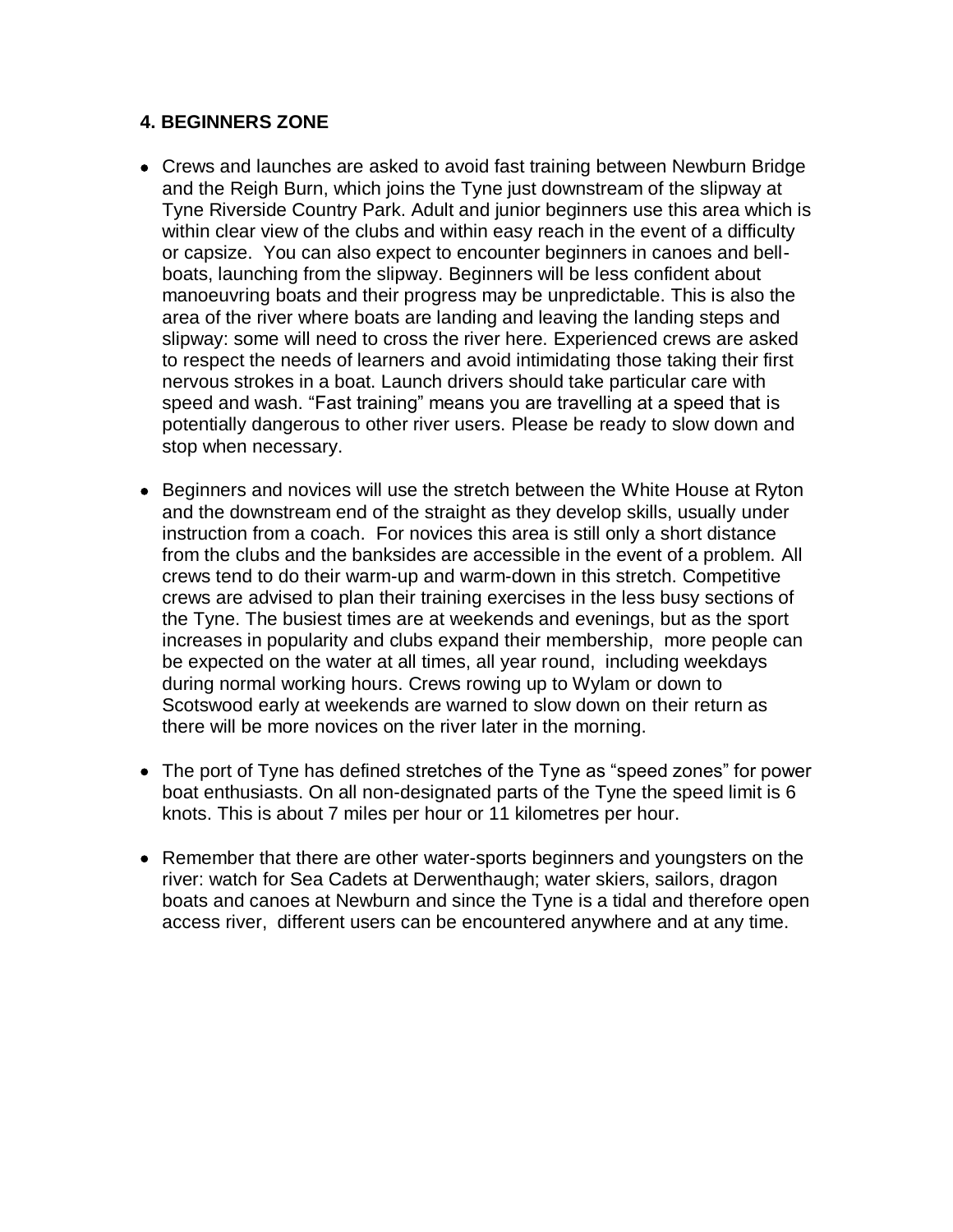#### **4. BEGINNERS ZONE**

- Crews and launches are asked to avoid fast training between Newburn Bridge and the Reigh Burn, which joins the Tyne just downstream of the slipway at Tyne Riverside Country Park. Adult and junior beginners use this area which is within clear view of the clubs and within easy reach in the event of a difficulty or capsize. You can also expect to encounter beginners in canoes and bellboats, launching from the slipway. Beginners will be less confident about manoeuvring boats and their progress may be unpredictable. This is also the area of the river where boats are landing and leaving the landing steps and slipway: some will need to cross the river here. Experienced crews are asked to respect the needs of learners and avoid intimidating those taking their first nervous strokes in a boat. Launch drivers should take particular care with speed and wash. "Fast training" means you are travelling at a speed that is potentially dangerous to other river users. Please be ready to slow down and stop when necessary.
- Beginners and novices will use the stretch between the White House at Ryton and the downstream end of the straight as they develop skills, usually under instruction from a coach. For novices this area is still only a short distance from the clubs and the banksides are accessible in the event of a problem. All crews tend to do their warm-up and warm-down in this stretch. Competitive crews are advised to plan their training exercises in the less busy sections of the Tyne. The busiest times are at weekends and evenings, but as the sport increases in popularity and clubs expand their membership, more people can be expected on the water at all times, all year round, including weekdays during normal working hours. Crews rowing up to Wylam or down to Scotswood early at weekends are warned to slow down on their return as there will be more novices on the river later in the morning.
- The port of Tyne has defined stretches of the Tyne as "speed zones" for power boat enthusiasts. On all non-designated parts of the Tyne the speed limit is 6 knots. This is about 7 miles per hour or 11 kilometres per hour.
- Remember that there are other water-sports beginners and youngsters on the river: watch for Sea Cadets at Derwenthaugh; water skiers, sailors, dragon boats and canoes at Newburn and since the Tyne is a tidal and therefore open access river, different users can be encountered anywhere and at any time.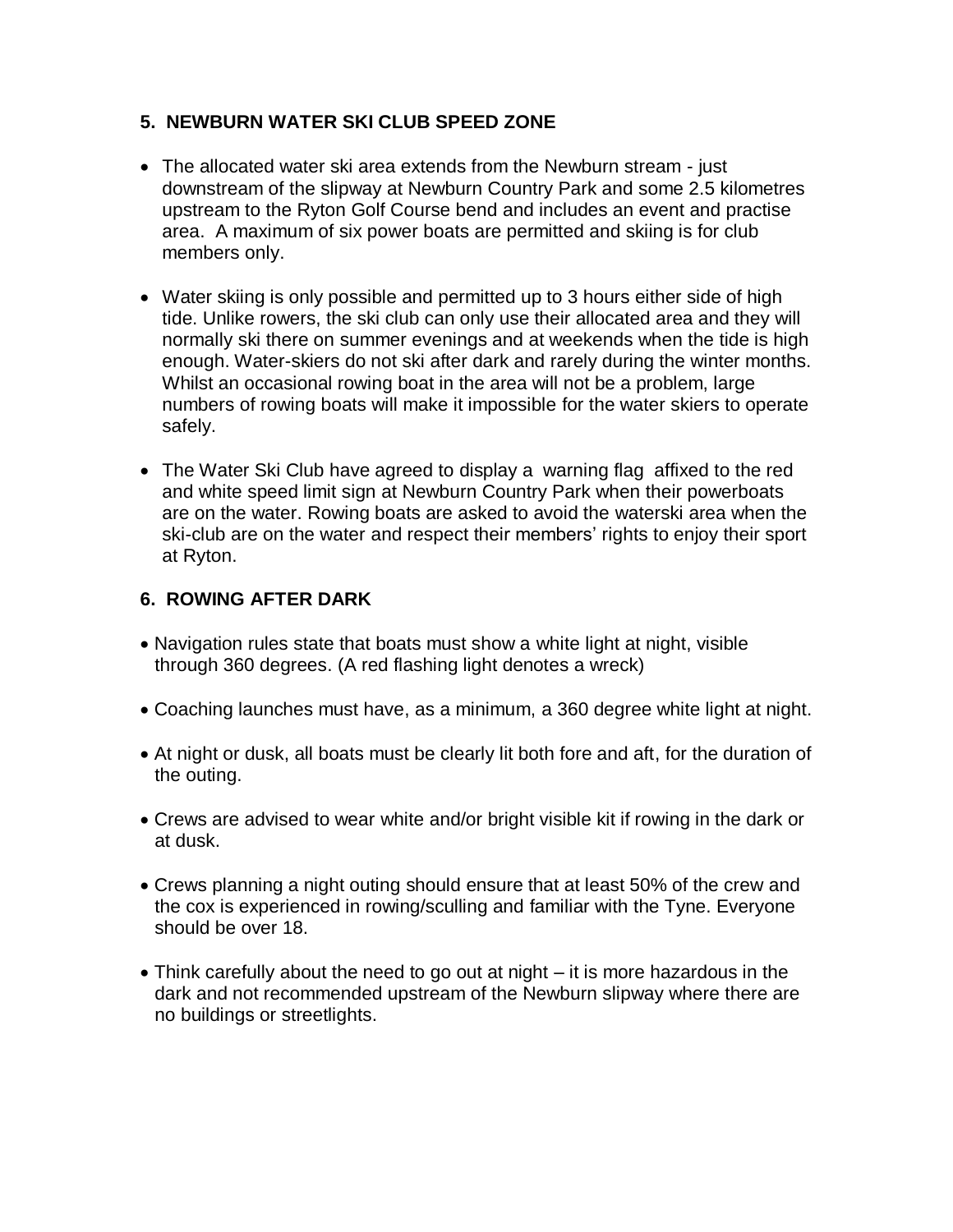#### **5. NEWBURN WATER SKI CLUB SPEED ZONE**

- The allocated water ski area extends from the Newburn stream just downstream of the slipway at Newburn Country Park and some 2.5 kilometres upstream to the Ryton Golf Course bend and includes an event and practise area. A maximum of six power boats are permitted and skiing is for club members only.
- Water skiing is only possible and permitted up to 3 hours either side of high tide. Unlike rowers, the ski club can only use their allocated area and they will normally ski there on summer evenings and at weekends when the tide is high enough. Water-skiers do not ski after dark and rarely during the winter months. Whilst an occasional rowing boat in the area will not be a problem, large numbers of rowing boats will make it impossible for the water skiers to operate safely.
- The Water Ski Club have agreed to display a warning flag affixed to the red and white speed limit sign at Newburn Country Park when their powerboats are on the water. Rowing boats are asked to avoid the waterski area when the ski-club are on the water and respect their members' rights to enjoy their sport at Ryton.

## **6. ROWING AFTER DARK**

- Navigation rules state that boats must show a white light at night, visible through 360 degrees. (A red flashing light denotes a wreck)
- Coaching launches must have, as a minimum, a 360 degree white light at night.
- At night or dusk, all boats must be clearly lit both fore and aft, for the duration of the outing.
- Crews are advised to wear white and/or bright visible kit if rowing in the dark or at dusk.
- Crews planning a night outing should ensure that at least 50% of the crew and the cox is experienced in rowing/sculling and familiar with the Tyne. Everyone should be over 18.
- Think carefully about the need to go out at night it is more hazardous in the dark and not recommended upstream of the Newburn slipway where there are no buildings or streetlights.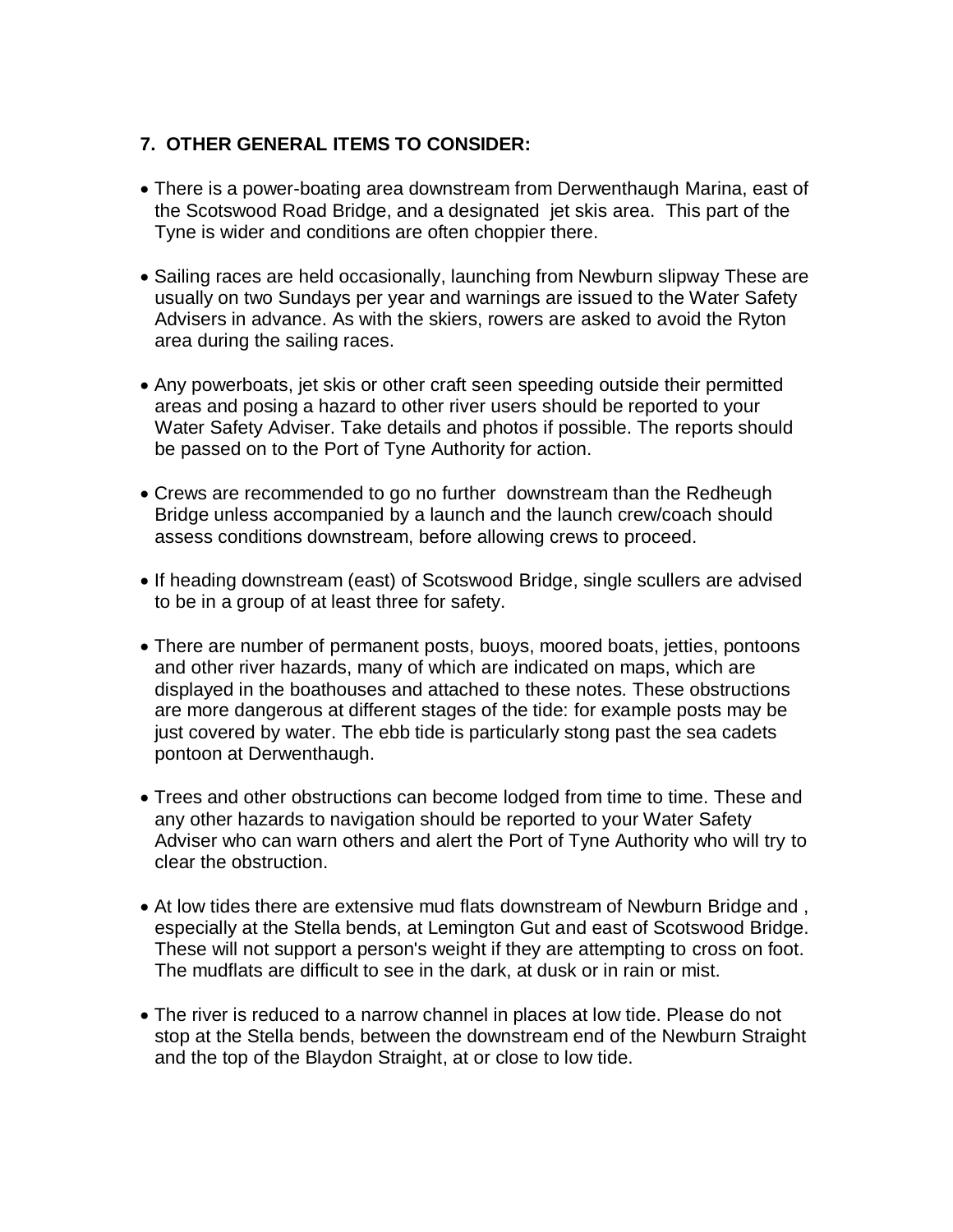# **7. OTHER GENERAL ITEMS TO CONSIDER:**

- There is a power-boating area downstream from Derwenthaugh Marina, east of the Scotswood Road Bridge, and a designated jet skis area. This part of the Tyne is wider and conditions are often choppier there.
- Sailing races are held occasionally, launching from Newburn slipway These are usually on two Sundays per year and warnings are issued to the Water Safety Advisers in advance. As with the skiers, rowers are asked to avoid the Ryton area during the sailing races.
- Any powerboats, jet skis or other craft seen speeding outside their permitted areas and posing a hazard to other river users should be reported to your Water Safety Adviser. Take details and photos if possible. The reports should be passed on to the Port of Tyne Authority for action.
- Crews are recommended to go no further downstream than the Redheugh Bridge unless accompanied by a launch and the launch crew/coach should assess conditions downstream, before allowing crews to proceed.
- If heading downstream (east) of Scotswood Bridge, single scullers are advised to be in a group of at least three for safety.
- There are number of permanent posts, buoys, moored boats, jetties, pontoons and other river hazards, many of which are indicated on maps, which are displayed in the boathouses and attached to these notes. These obstructions are more dangerous at different stages of the tide: for example posts may be just covered by water. The ebb tide is particularly stong past the sea cadets pontoon at Derwenthaugh.
- Trees and other obstructions can become lodged from time to time. These and any other hazards to navigation should be reported to your Water Safety Adviser who can warn others and alert the Port of Tyne Authority who will try to clear the obstruction.
- At low tides there are extensive mud flats downstream of Newburn Bridge and , especially at the Stella bends, at Lemington Gut and east of Scotswood Bridge. These will not support a person's weight if they are attempting to cross on foot. The mudflats are difficult to see in the dark, at dusk or in rain or mist.
- The river is reduced to a narrow channel in places at low tide. Please do not stop at the Stella bends, between the downstream end of the Newburn Straight and the top of the Blaydon Straight, at or close to low tide.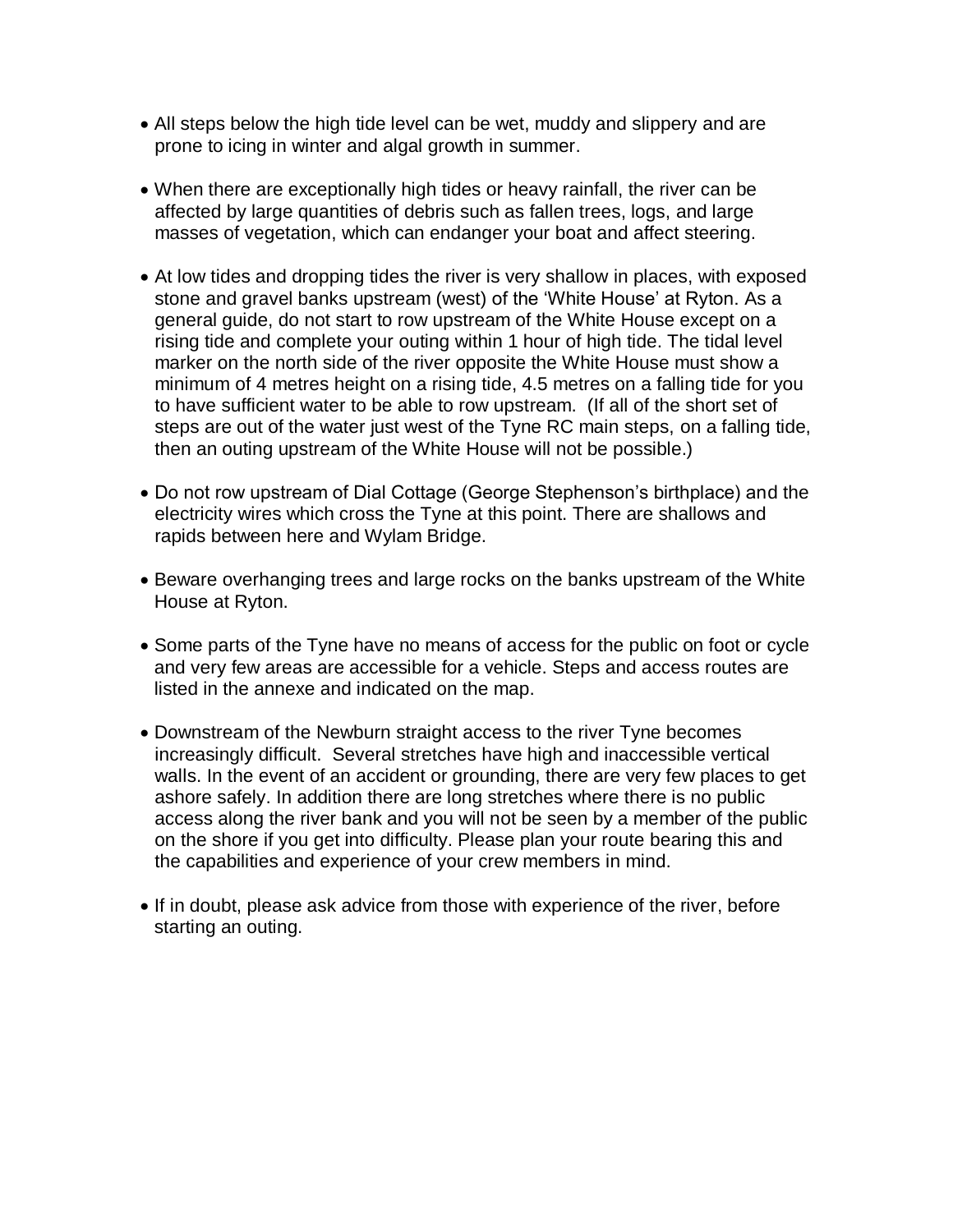- All steps below the high tide level can be wet, muddy and slippery and are prone to icing in winter and algal growth in summer.
- When there are exceptionally high tides or heavy rainfall, the river can be affected by large quantities of debris such as fallen trees, logs, and large masses of vegetation, which can endanger your boat and affect steering.
- At low tides and dropping tides the river is very shallow in places, with exposed stone and gravel banks upstream (west) of the 'White House' at Ryton. As a general guide, do not start to row upstream of the White House except on a rising tide and complete your outing within 1 hour of high tide. The tidal level marker on the north side of the river opposite the White House must show a minimum of 4 metres height on a rising tide, 4.5 metres on a falling tide for you to have sufficient water to be able to row upstream. (If all of the short set of steps are out of the water just west of the Tyne RC main steps, on a falling tide, then an outing upstream of the White House will not be possible.)
- Do not row upstream of Dial Cottage (George Stephenson"s birthplace) and the electricity wires which cross the Tyne at this point. There are shallows and rapids between here and Wylam Bridge.
- Beware overhanging trees and large rocks on the banks upstream of the White House at Ryton.
- Some parts of the Tyne have no means of access for the public on foot or cycle and very few areas are accessible for a vehicle. Steps and access routes are listed in the annexe and indicated on the map.
- Downstream of the Newburn straight access to the river Tyne becomes increasingly difficult. Several stretches have high and inaccessible vertical walls. In the event of an accident or grounding, there are very few places to get ashore safely. In addition there are long stretches where there is no public access along the river bank and you will not be seen by a member of the public on the shore if you get into difficulty. Please plan your route bearing this and the capabilities and experience of your crew members in mind.
- If in doubt, please ask advice from those with experience of the river, before starting an outing.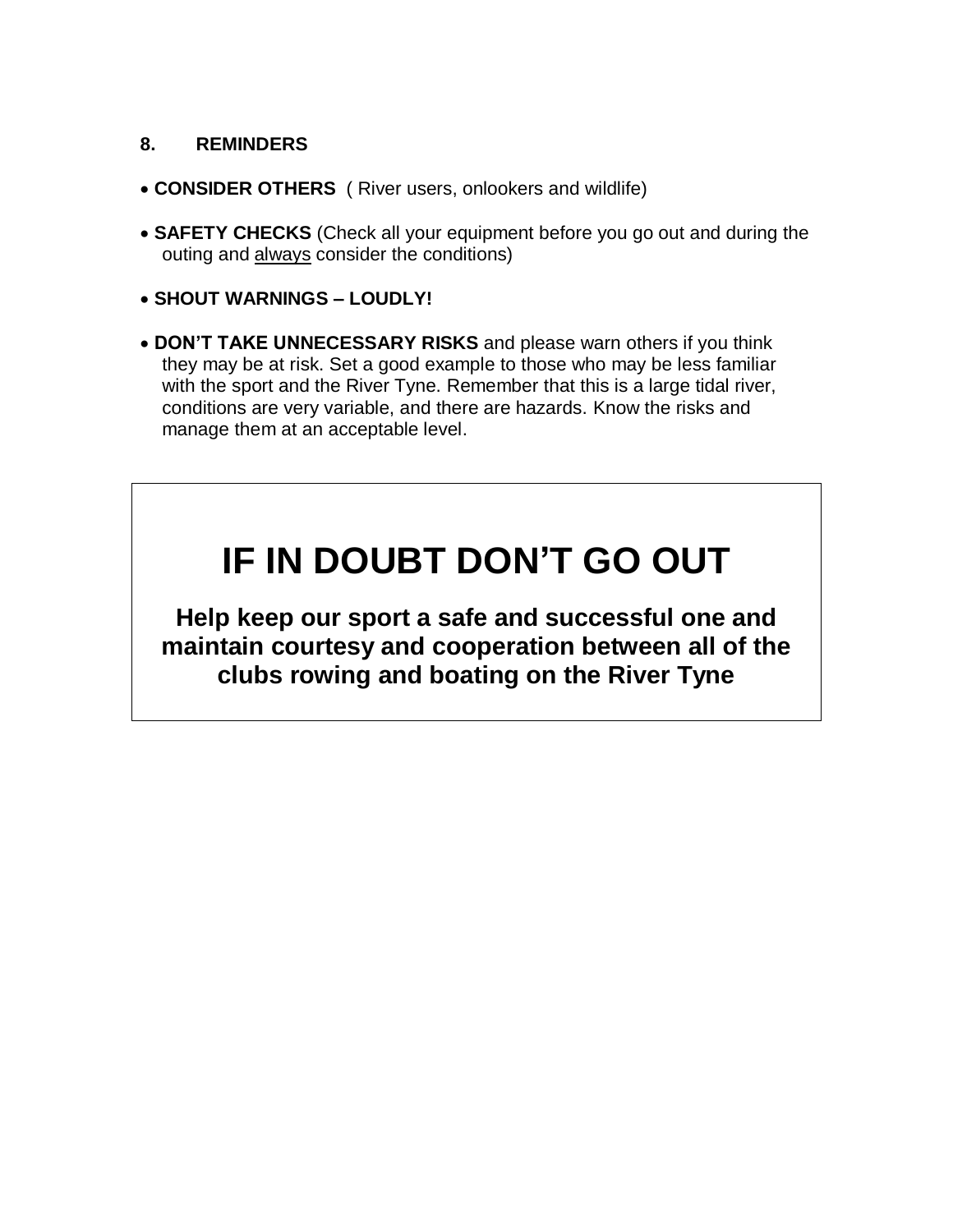#### **8. REMINDERS**

- **CONSIDER OTHERS** ( River users, onlookers and wildlife)
- **SAFETY CHECKS** (Check all your equipment before you go out and during the outing and always consider the conditions)
- **SHOUT WARNINGS – LOUDLY!**
- **DON'T TAKE UNNECESSARY RISKS** and please warn others if you think they may be at risk. Set a good example to those who may be less familiar with the sport and the River Tyne. Remember that this is a large tidal river, conditions are very variable, and there are hazards. Know the risks and manage them at an acceptable level.

# **IF IN DOUBT DON'T GO OUT**

**Help keep our sport a safe and successful one and maintain courtesy and cooperation between all of the clubs rowing and boating on the River Tyne**